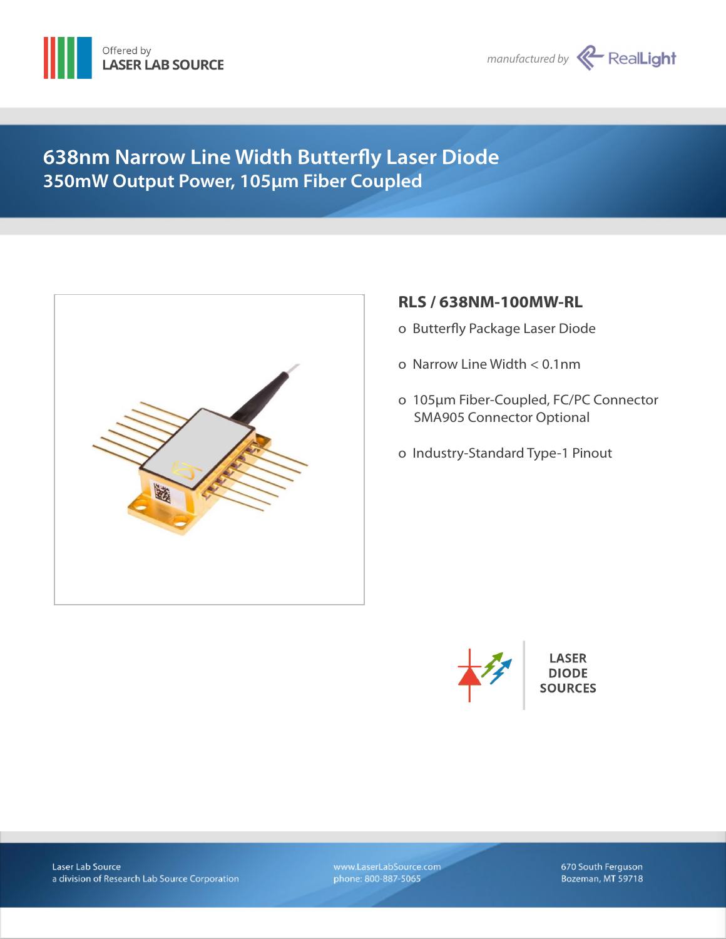



# **638nm Narrow Line Width Butterfly Laser Diode 350mW Output Power, 105µm Fiber Coupled**



# **RLS / 638NM-100MW-RL**

- ο Butterfly Package Laser Diode
- ο Narrow Line Width < 0.1nm
- ο 105µm Fiber-Coupled, FC/PC Connector SMA905 Connector Optional
- ο Industry-Standard Type-1 Pinout



**LASER DIODE SOURCES** 

Laser Lab Source a division of Research Lab Source Corporation www.LaserLabSource.com phone: 800-887-5065

670 South Ferguson Bozeman, MT 59718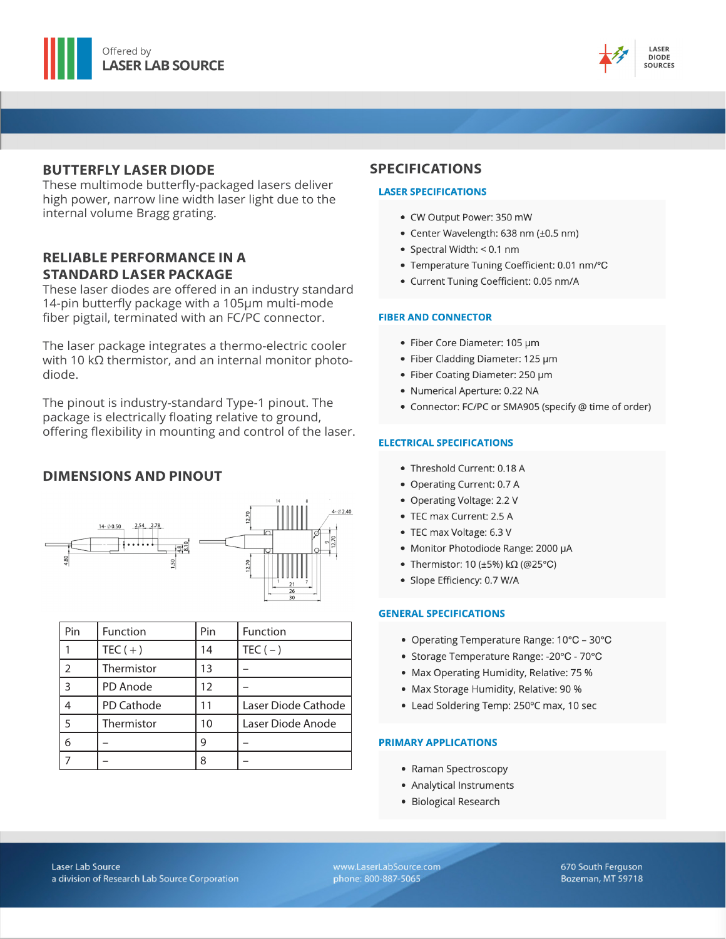



### **BUTTERFLY LASER DIODE**

These multimode butterfly-packaged lasers deliver high power, narrow line width laser light due to the internal volume Bragg grating.

## **RELIABLE PERFORMANCE IN A STANDARD LASER PACKAGE**

These laser diodes are offered in an industry standard 14-pin butterfly package with a 105µm multi-mode fiber pigtail, terminated with an FC/PC connector.

The laser package integrates a thermo-electric cooler with 10  $k\Omega$  thermistor, and an internal monitor photodiode.

The pinout is industry-standard Type-1 pinout. The package is electrically floating relative to ground, offering flexibility in mounting and control of the laser.

## **DIMENSIONS AND PINOUT**



| Pin                      | Function   | Pin | Function            |
|--------------------------|------------|-----|---------------------|
|                          | $TEC (+)$  | 14  | $TEC(-)$            |
| $\overline{\mathcal{L}}$ | Thermistor | 13  |                     |
| 3                        | PD Anode   | 12  |                     |
|                          | PD Cathode | 11  | Laser Diode Cathode |
| 5                        | Thermistor | 10  | Laser Diode Anode   |
| 6                        |            | 9   |                     |
|                          |            | 8   |                     |

### **SPECIFICATIONS**

#### **LASER SPECIFICATIONS**

- CW Output Power: 350 mW
- Center Wavelength: 638 nm (±0.5 nm)
- Spectral Width: < 0.1 nm
- Temperature Tuning Coefficient: 0.01 nm/°C
- · Current Tuning Coefficient: 0.05 nm/A

#### **FIBER AND CONNECTOR**

- · Fiber Core Diameter: 105 µm
- Fiber Cladding Diameter: 125 µm
- Fiber Coating Diameter: 250 µm
- · Numerical Aperture: 0.22 NA
- Connector: FC/PC or SMA905 (specify @ time of order)

#### **ELECTRICAL SPECIFICATIONS**

- Threshold Current: 0.18 A
- Operating Current: 0.7 A
- Operating Voltage: 2.2 V
- TEC max Current: 2.5 A
- TEC max Voltage: 6.3 V
- Monitor Photodiode Range: 2000 µA
- Thermistor: 10 (±5%) kΩ (@25°C)
- · Slope Efficiency: 0.7 W/A

#### **GENERAL SPECIFICATIONS**

- Operating Temperature Range: 10°C 30°C
- Storage Temperature Range: -20°C 70°C
- Max Operating Humidity, Relative: 75 %
- Max Storage Humidity, Relative: 90 %
- Lead Soldering Temp: 250°C max, 10 sec

#### **PRIMARY APPLICATIONS**

- Raman Spectroscopy
- Analytical Instruments
- · Biological Research

www.LaserLabSource.com phone: 800-887-5065